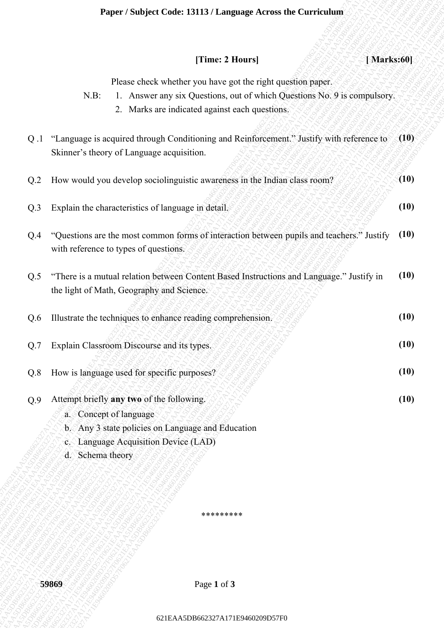#### **Paper / Subject Code: 13113 / Language Across the Curriculum**

|                 | [Time: 2 Hours]<br>[Marks:60]                                                                                                                                                                        |      |
|-----------------|------------------------------------------------------------------------------------------------------------------------------------------------------------------------------------------------------|------|
|                 | Please check whether you have got the right question paper.<br>$N.B$ :<br>1. Answer any six Questions, out of which Questions No. 9 is compulsory.<br>2. Marks are indicated against each questions. |      |
| Q.1             | "Language is acquired through Conditioning and Reinforcement." Justify with reference to<br>Skinner's theory of Language acquisition.                                                                | (10) |
| Q <sub>.2</sub> | How would you develop sociolinguistic awareness in the Indian class room?                                                                                                                            | (10) |
| Q.3             | Explain the characteristics of language in detail.                                                                                                                                                   | (10) |
| Q.4             | "Questions are the most common forms of interaction between pupils and teachers." Justify<br>with reference to types of questions.                                                                   | (10) |
| Q.5             | "There is a mutual relation between Content Based Instructions and Language." Justify in<br>the light of Math, Geography and Science.                                                                | (10) |
| Q.6             | Illustrate the techniques to enhance reading comprehension.                                                                                                                                          | (10) |
| Q.7             | Explain Classroom Discourse and its types.                                                                                                                                                           | (10) |
| Q.8             | How is language used for specific purposes?                                                                                                                                                          | (10) |
| Q.9             | Attempt briefly any two of the following.<br>a. Concept of language<br>b. Any 3 state policies on Language and Education<br>c. Language Acquisition Device (LAD)<br>d. Schema theory                 | (10) |
|                 | *********                                                                                                                                                                                            |      |
|                 |                                                                                                                                                                                                      |      |
|                 | Page 1 of 3<br>59869                                                                                                                                                                                 |      |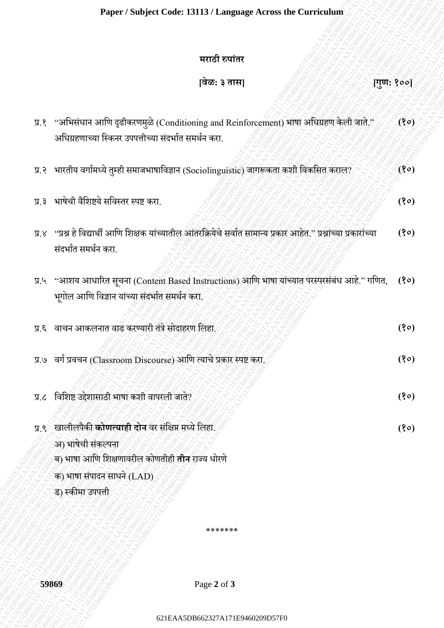#### **मराठी रुपाांतर**

# **[वेळ: ३ तास] [गुण: १००]**

|                   | मराठी रुपांतर                                                                                                                                                                       |          |
|-------------------|-------------------------------------------------------------------------------------------------------------------------------------------------------------------------------------|----------|
|                   | वेळ: ३ तास                                                                                                                                                                          | गुण: १०० |
| $\delta$ . R      | ''अभिसंधान आणि दृढीकरणमुळे (Conditioning and Reinforcement) भाषा अधिग्रहण केली जाते.''<br>अधिग्रहणाच्या स्किनर उपपत्तीच्या संदर्भात समर्थन करा.                                     | (30)     |
|                   | प्र.२ भारतीय वर्गामध्ये तुम्ही समाजभाषाविज्ञान (Sociolinguistic) जागरूकता कशी विकसित कराल?                                                                                          | (80)     |
| 5.8               | भाषेची वैशिष्टये सविस्तर स्पष्ट करा.                                                                                                                                                | (30)     |
| $X, \overline{K}$ | ''प्रश्न हे विद्यार्थी आणि शिक्षक यांच्यातील आंतरक्रियेचे सर्वात सामान्य प्रकार आहेत.'' प्रश्नांच्या प्रकारांच्या<br>संदर्भात समर्थन करा.                                           | (30)     |
|                   | प्र.५ "आशय आधारित सूचना (Content Based Instructions) आणि भाषा यांच्यात परस्परसंबंध आहे." गणित,<br>भूगोल आणि विज्ञान यांच्या संदर्भात समर्थन करा.                                    | (30)     |
|                   | प्र.६ वाचन आकलनात वाढ करण्यारी तंत्रे सोदाहरण लिहा.                                                                                                                                 | (30)     |
|                   | प्र.७ वर्ग प्रवचन (Classroom Discourse) आणि त्याचे प्रकार स्पष्ट करा.                                                                                                               | (30)     |
|                   | प्र.८ विशिष्ट उद्देशासाठी भाषा कशी वापरली जाते?                                                                                                                                     | (80)     |
| ५.६               | खालीलपैकी कोणत्याही दोन वर संक्षिप्त मध्ये लिहा.<br>अ) भाषेची संकल्पना<br>ब) भाषा आणि शिक्षणावरील कोणतीही <b>तीन</b> राज्य धोरणे<br>क) भाषा संपादन साधने (LAD)<br>ड) स्कीमा उपपत्ती | (80)     |
|                   | *******                                                                                                                                                                             |          |
|                   |                                                                                                                                                                                     |          |
| 59869             | Page 2 of 3                                                                                                                                                                         |          |